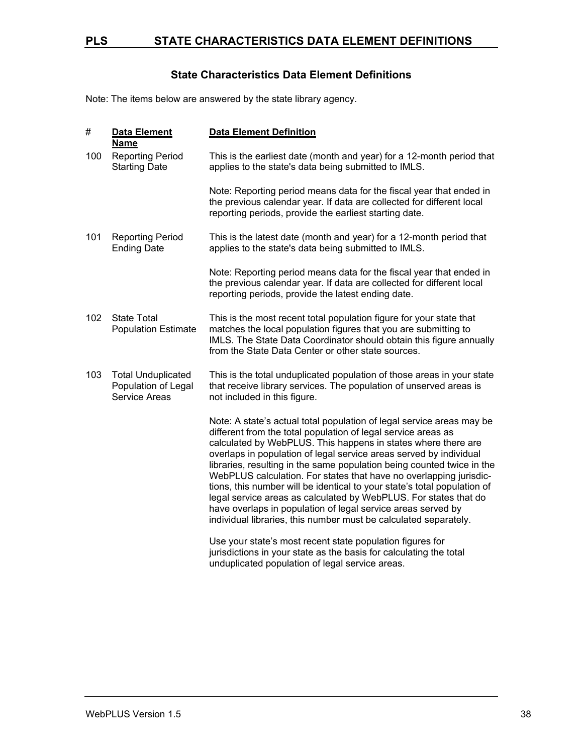### **PLS STATE CHARACTERISTICS DATA ELEMENT DEFINITIONS**

### **State Characteristics Data Element Definitions**

Note: The items below are answered by the state library agency.

| #   | <b>Data Element</b><br><b>Name</b>                                | <b>Data Element Definition</b>                                                                                                                                                                                                                                                                                                                                                                                                                                                                                                                                                                                                                                                                                    |
|-----|-------------------------------------------------------------------|-------------------------------------------------------------------------------------------------------------------------------------------------------------------------------------------------------------------------------------------------------------------------------------------------------------------------------------------------------------------------------------------------------------------------------------------------------------------------------------------------------------------------------------------------------------------------------------------------------------------------------------------------------------------------------------------------------------------|
| 100 | <b>Reporting Period</b><br><b>Starting Date</b>                   | This is the earliest date (month and year) for a 12-month period that<br>applies to the state's data being submitted to IMLS.                                                                                                                                                                                                                                                                                                                                                                                                                                                                                                                                                                                     |
|     |                                                                   | Note: Reporting period means data for the fiscal year that ended in<br>the previous calendar year. If data are collected for different local<br>reporting periods, provide the earliest starting date.                                                                                                                                                                                                                                                                                                                                                                                                                                                                                                            |
| 101 | <b>Reporting Period</b><br><b>Ending Date</b>                     | This is the latest date (month and year) for a 12-month period that<br>applies to the state's data being submitted to IMLS.                                                                                                                                                                                                                                                                                                                                                                                                                                                                                                                                                                                       |
|     |                                                                   | Note: Reporting period means data for the fiscal year that ended in<br>the previous calendar year. If data are collected for different local<br>reporting periods, provide the latest ending date.                                                                                                                                                                                                                                                                                                                                                                                                                                                                                                                |
| 102 | <b>State Total</b><br><b>Population Estimate</b>                  | This is the most recent total population figure for your state that<br>matches the local population figures that you are submitting to<br>IMLS. The State Data Coordinator should obtain this figure annually<br>from the State Data Center or other state sources.                                                                                                                                                                                                                                                                                                                                                                                                                                               |
| 103 | <b>Total Unduplicated</b><br>Population of Legal<br>Service Areas | This is the total unduplicated population of those areas in your state<br>that receive library services. The population of unserved areas is<br>not included in this figure.                                                                                                                                                                                                                                                                                                                                                                                                                                                                                                                                      |
|     |                                                                   | Note: A state's actual total population of legal service areas may be<br>different from the total population of legal service areas as<br>calculated by WebPLUS. This happens in states where there are<br>overlaps in population of legal service areas served by individual<br>libraries, resulting in the same population being counted twice in the<br>WebPLUS calculation. For states that have no overlapping jurisdic-<br>tions, this number will be identical to your state's total population of<br>legal service areas as calculated by WebPLUS. For states that do<br>have overlaps in population of legal service areas served by<br>individual libraries, this number must be calculated separately. |
|     |                                                                   | Use your state's most recent state population figures for<br>jurisdictions in your state as the basis for calculating the total<br>unduplicated population of legal service areas.                                                                                                                                                                                                                                                                                                                                                                                                                                                                                                                                |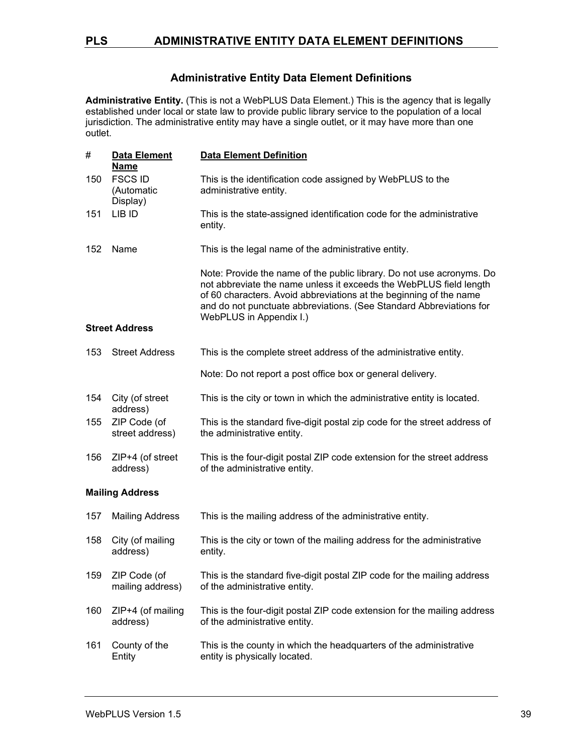### **Administrative Entity Data Element Definitions**

**Administrative Entity.** (This is not a WebPLUS Data Element.) This is the agency that is legally established under local or state law to provide public library service to the population of a local jurisdiction. The administrative entity may have a single outlet, or it may have more than one .<br>outlet.

| #                      | Data Element<br><b>Name</b>              | <b>Data Element Definition</b>                                                                                                                                                                                                                                                                                      |
|------------------------|------------------------------------------|---------------------------------------------------------------------------------------------------------------------------------------------------------------------------------------------------------------------------------------------------------------------------------------------------------------------|
| 150                    | <b>FSCS ID</b><br>(Automatic<br>Display) | This is the identification code assigned by WebPLUS to the<br>administrative entity.                                                                                                                                                                                                                                |
| 151                    | LIB ID                                   | This is the state-assigned identification code for the administrative<br>entity.                                                                                                                                                                                                                                    |
| 152                    | Name                                     | This is the legal name of the administrative entity.                                                                                                                                                                                                                                                                |
|                        |                                          | Note: Provide the name of the public library. Do not use acronyms. Do<br>not abbreviate the name unless it exceeds the WebPLUS field length<br>of 60 characters. Avoid abbreviations at the beginning of the name<br>and do not punctuate abbreviations. (See Standard Abbreviations for<br>WebPLUS in Appendix I.) |
|                        | <b>Street Address</b>                    |                                                                                                                                                                                                                                                                                                                     |
| 153                    | <b>Street Address</b>                    | This is the complete street address of the administrative entity.                                                                                                                                                                                                                                                   |
|                        |                                          | Note: Do not report a post office box or general delivery.                                                                                                                                                                                                                                                          |
| 154                    | City (of street<br>address)              | This is the city or town in which the administrative entity is located.                                                                                                                                                                                                                                             |
| 155                    | ZIP Code (of<br>street address)          | This is the standard five-digit postal zip code for the street address of<br>the administrative entity.                                                                                                                                                                                                             |
| 156                    | ZIP+4 (of street<br>address)             | This is the four-digit postal ZIP code extension for the street address<br>of the administrative entity.                                                                                                                                                                                                            |
| <b>Mailing Address</b> |                                          |                                                                                                                                                                                                                                                                                                                     |
| 157                    | <b>Mailing Address</b>                   | This is the mailing address of the administrative entity.                                                                                                                                                                                                                                                           |
| 158                    | City (of mailing<br>address)             | This is the city or town of the mailing address for the administrative<br>entity.                                                                                                                                                                                                                                   |
| 159                    | ZIP Code (of<br>mailing address)         | This is the standard five-digit postal ZIP code for the mailing address<br>of the administrative entity.                                                                                                                                                                                                            |
| 160                    | ZIP+4 (of mailing<br>address)            | This is the four-digit postal ZIP code extension for the mailing address<br>of the administrative entity.                                                                                                                                                                                                           |
| 161                    | County of the<br>Entity                  | This is the county in which the headquarters of the administrative<br>entity is physically located.                                                                                                                                                                                                                 |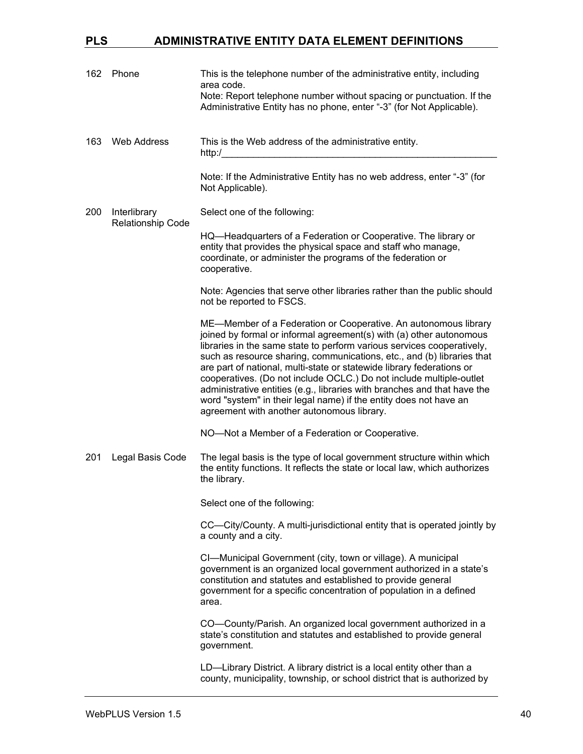| 162 | Phone                    | This is the telephone number of the administrative entity, including<br>area code.<br>Note: Report telephone number without spacing or punctuation. If the<br>Administrative Entity has no phone, enter "-3" (for Not Applicable).                                                                                                                                                                                                                                                                                                                                                                                                        |
|-----|--------------------------|-------------------------------------------------------------------------------------------------------------------------------------------------------------------------------------------------------------------------------------------------------------------------------------------------------------------------------------------------------------------------------------------------------------------------------------------------------------------------------------------------------------------------------------------------------------------------------------------------------------------------------------------|
| 163 | <b>Web Address</b>       | This is the Web address of the administrative entity.<br>http://                                                                                                                                                                                                                                                                                                                                                                                                                                                                                                                                                                          |
|     |                          | Note: If the Administrative Entity has no web address, enter "-3" (for<br>Not Applicable).                                                                                                                                                                                                                                                                                                                                                                                                                                                                                                                                                |
| 200 | Interlibrary             | Select one of the following:                                                                                                                                                                                                                                                                                                                                                                                                                                                                                                                                                                                                              |
|     | <b>Relationship Code</b> | HQ—Headquarters of a Federation or Cooperative. The library or<br>entity that provides the physical space and staff who manage,<br>coordinate, or administer the programs of the federation or<br>cooperative.                                                                                                                                                                                                                                                                                                                                                                                                                            |
|     |                          | Note: Agencies that serve other libraries rather than the public should<br>not be reported to FSCS.                                                                                                                                                                                                                                                                                                                                                                                                                                                                                                                                       |
|     |                          | ME-Member of a Federation or Cooperative. An autonomous library<br>joined by formal or informal agreement(s) with (a) other autonomous<br>libraries in the same state to perform various services cooperatively,<br>such as resource sharing, communications, etc., and (b) libraries that<br>are part of national, multi-state or statewide library federations or<br>cooperatives. (Do not include OCLC.) Do not include multiple-outlet<br>administrative entities (e.g., libraries with branches and that have the<br>word "system" in their legal name) if the entity does not have an<br>agreement with another autonomous library. |
|     |                          | NO-Not a Member of a Federation or Cooperative.                                                                                                                                                                                                                                                                                                                                                                                                                                                                                                                                                                                           |
| 201 | Legal Basis Code         | The legal basis is the type of local government structure within which<br>the entity functions. It reflects the state or local law, which authorizes<br>the library.                                                                                                                                                                                                                                                                                                                                                                                                                                                                      |
|     |                          | Select one of the following:                                                                                                                                                                                                                                                                                                                                                                                                                                                                                                                                                                                                              |
|     |                          | CC—City/County. A multi-jurisdictional entity that is operated jointly by<br>a county and a city.                                                                                                                                                                                                                                                                                                                                                                                                                                                                                                                                         |
|     |                          | CI-Municipal Government (city, town or village). A municipal<br>government is an organized local government authorized in a state's<br>constitution and statutes and established to provide general<br>government for a specific concentration of population in a defined<br>area.                                                                                                                                                                                                                                                                                                                                                        |
|     |                          | CO-County/Parish. An organized local government authorized in a<br>state's constitution and statutes and established to provide general<br>government.                                                                                                                                                                                                                                                                                                                                                                                                                                                                                    |
|     |                          | LD-Library District. A library district is a local entity other than a<br>county, municipality, township, or school district that is authorized by                                                                                                                                                                                                                                                                                                                                                                                                                                                                                        |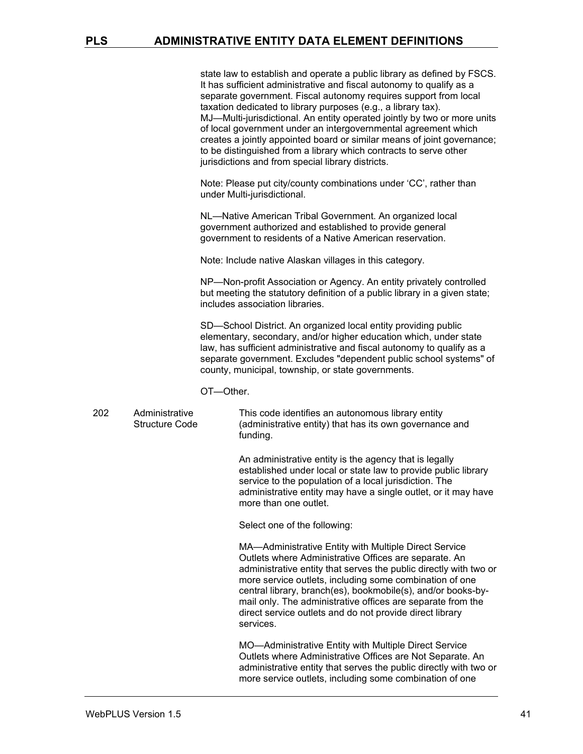state law to establish and operate a public library as defined by FSCS. It has sufficient administrative and fiscal autonomy to qualify as a separate government. Fiscal autonomy requires support from local taxation dedicated to library purposes (e.g., a library tax). MJ—Multi-jurisdictional. An entity operated jointly by two or more units of local government under an intergovernmental agreement which creates a jointly appointed board or similar means of joint governance; to be distinguished from a library which contracts to serve other jurisdictions and from special library districts.

Note: Please put city/county combinations under 'CC', rather than under Multi-jurisdictional.

NL—Native American Tribal Government. An organized local government authorized and established to provide general government to residents of a Native American reservation.

Note: Include native Alaskan villages in this category.

NP—Non-profit Association or Agency. An entity privately controlled but meeting the statutory definition of a public library in a given state; includes association libraries.

SD—School District. An organized local entity providing public elementary, secondary, and/or higher education which, under state law, has sufficient administrative and fiscal autonomy to qualify as a separate government. Excludes "dependent public school systems" of county, municipal, township, or state governments.

- OT—Other.
- 202 Administrative Structure Code This code identifies an autonomous library entity (administrative entity) that has its own governance and funding.

An administrative entity is the agency that is legally established under local or state law to provide public library service to the population of a local jurisdiction. The administrative entity may have a single outlet, or it may have more than one outlet.

Select one of the following:

MA—Administrative Entity with Multiple Direct Service Outlets where Administrative Offices are separate. An administrative entity that serves the public directly with two or more service outlets, including some combination of one central library, branch(es), bookmobile(s), and/or books-bymail only. The administrative offices are separate from the direct service outlets and do not provide direct library services.

MO—Administrative Entity with Multiple Direct Service Outlets where Administrative Offices are Not Separate. An administrative entity that serves the public directly with two or more service outlets, including some combination of one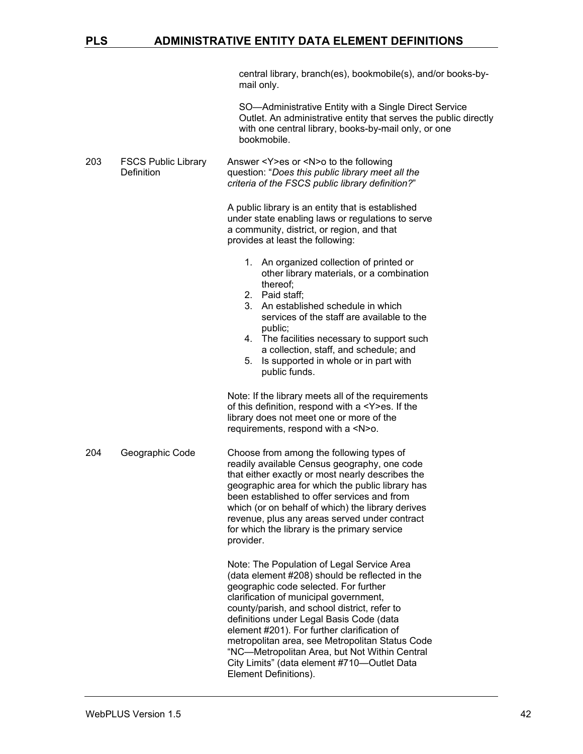central library, branch(es), bookmobile(s), and/or books-bymail only.

SO—Administrative Entity with a Single Direct Service Outlet. An administrative entity that serves the public directly with one central library, books-by-mail only, or one bookmobile.

203 FSCS Public Library **Definition** Answer <Y>es or <N>o to the following question: "*Does this public library meet all the criteria of the FSCS public library definition?*"

> A public library is an entity that is established under state enabling laws or regulations to serve a community, district, or region, and that provides at least the following:

- 1. An organized collection of printed or other library materials, or a combination thereof;
- 2. Paid staff;
- 3. An established schedule in which services of the staff are available to the public;
- 4. The facilities necessary to support such a collection, staff, and schedule; and
- 5. Is supported in whole or in part with public funds.

Note: If the library meets all of the requirements of this definition, respond with a <Y>es. If the library does not meet one or more of the requirements, respond with a <N>o.

204 Geographic Code Choose from among the following types of readily available Census geography, one code that either exactly or most nearly describes the geographic area for which the public library has been established to offer services and from which (or on behalf of which) the library derives revenue, plus any areas served under contract for which the library is the primary service provider.

> Note: The Population of Legal Service Area (data element #208) should be reflected in the geographic code selected. For further clarification of municipal government, county/parish, and school district, refer to definitions under Legal Basis Code (data element #201). For further clarification of metropolitan area, see Metropolitan Status Code "NC—Metropolitan Area, but Not Within Central City Limits" (data element #710—Outlet Data Element Definitions).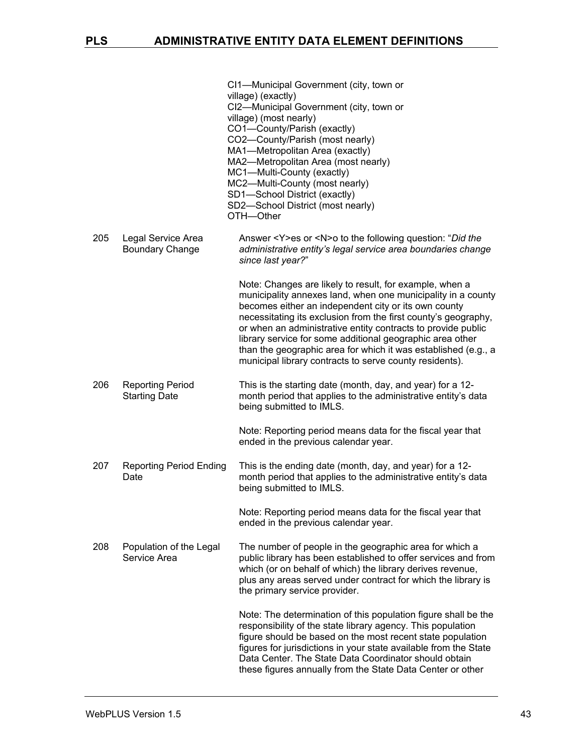|     |                                                 | CI1-Municipal Government (city, town or<br>village) (exactly)<br>CI2-Municipal Government (city, town or<br>village) (most nearly)<br>CO1-County/Parish (exactly)<br>CO2-County/Parish (most nearly)<br>MA1-Metropolitan Area (exactly)<br>MA2-Metropolitan Area (most nearly)<br>MC1-Multi-County (exactly)<br>MC2-Multi-County (most nearly)<br>SD1-School District (exactly)<br>SD2-School District (most nearly)<br>OTH-Other                                                                           |
|-----|-------------------------------------------------|-------------------------------------------------------------------------------------------------------------------------------------------------------------------------------------------------------------------------------------------------------------------------------------------------------------------------------------------------------------------------------------------------------------------------------------------------------------------------------------------------------------|
| 205 | Legal Service Area<br><b>Boundary Change</b>    | Answer <y>es or <n>o to the following question: "Did the<br/>administrative entity's legal service area boundaries change<br/>since last year?"</n></y>                                                                                                                                                                                                                                                                                                                                                     |
|     |                                                 | Note: Changes are likely to result, for example, when a<br>municipality annexes land, when one municipality in a county<br>becomes either an independent city or its own county<br>necessitating its exclusion from the first county's geography,<br>or when an administrative entity contracts to provide public<br>library service for some additional geographic area other<br>than the geographic area for which it was established (e.g., a<br>municipal library contracts to serve county residents). |
| 206 | <b>Reporting Period</b><br><b>Starting Date</b> | This is the starting date (month, day, and year) for a 12-<br>month period that applies to the administrative entity's data<br>being submitted to IMLS.                                                                                                                                                                                                                                                                                                                                                     |
|     |                                                 | Note: Reporting period means data for the fiscal year that<br>ended in the previous calendar year.                                                                                                                                                                                                                                                                                                                                                                                                          |
| 207 | <b>Reporting Period Ending</b><br>Date          | This is the ending date (month, day, and year) for a 12-<br>month period that applies to the administrative entity's data<br>being submitted to IMLS.                                                                                                                                                                                                                                                                                                                                                       |
|     |                                                 | Note: Reporting period means data for the fiscal year that<br>ended in the previous calendar year.                                                                                                                                                                                                                                                                                                                                                                                                          |
| 208 | Population of the Legal<br>Service Area         | The number of people in the geographic area for which a<br>public library has been established to offer services and from<br>which (or on behalf of which) the library derives revenue,<br>plus any areas served under contract for which the library is<br>the primary service provider.                                                                                                                                                                                                                   |
|     |                                                 | Note: The determination of this population figure shall be the<br>responsibility of the state library agency. This population<br>figure should be based on the most recent state population<br>figures for jurisdictions in your state available from the State<br>Data Center. The State Data Coordinator should obtain<br>these figures annually from the State Data Center or other                                                                                                                      |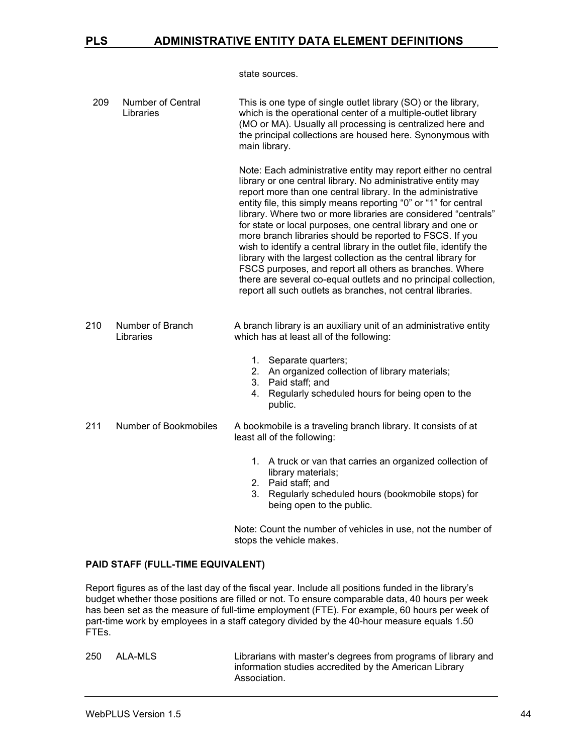state sources.

| 209 | Number of Central<br>Libraries | This is one type of single outlet library (SO) or the library,<br>which is the operational center of a multiple-outlet library<br>(MO or MA). Usually all processing is centralized here and<br>the principal collections are housed here. Synonymous with<br>main library.                                                                                                                                                                                                                                                                                                                                                                                                                                                                                                                        |
|-----|--------------------------------|----------------------------------------------------------------------------------------------------------------------------------------------------------------------------------------------------------------------------------------------------------------------------------------------------------------------------------------------------------------------------------------------------------------------------------------------------------------------------------------------------------------------------------------------------------------------------------------------------------------------------------------------------------------------------------------------------------------------------------------------------------------------------------------------------|
|     |                                | Note: Each administrative entity may report either no central<br>library or one central library. No administrative entity may<br>report more than one central library. In the administrative<br>entity file, this simply means reporting "0" or "1" for central<br>library. Where two or more libraries are considered "centrals"<br>for state or local purposes, one central library and one or<br>more branch libraries should be reported to FSCS. If you<br>wish to identify a central library in the outlet file, identify the<br>library with the largest collection as the central library for<br>FSCS purposes, and report all others as branches. Where<br>there are several co-equal outlets and no principal collection,<br>report all such outlets as branches, not central libraries. |
| 210 | Number of Branch<br>Libraries  | A branch library is an auxiliary unit of an administrative entity<br>which has at least all of the following:                                                                                                                                                                                                                                                                                                                                                                                                                                                                                                                                                                                                                                                                                      |
|     |                                | 1. Separate quarters;<br>2. An organized collection of library materials;<br>3. Paid staff; and<br>Regularly scheduled hours for being open to the<br>4.<br>public.                                                                                                                                                                                                                                                                                                                                                                                                                                                                                                                                                                                                                                |
| 211 | Number of Bookmobiles          | A bookmobile is a traveling branch library. It consists of at<br>least all of the following:                                                                                                                                                                                                                                                                                                                                                                                                                                                                                                                                                                                                                                                                                                       |
|     |                                | 1. A truck or van that carries an organized collection of<br>library materials;<br>2. Paid staff; and<br>3. Regularly scheduled hours (bookmobile stops) for<br>being open to the public.                                                                                                                                                                                                                                                                                                                                                                                                                                                                                                                                                                                                          |
|     |                                | Note: Count the number of vehicles in use, not the number of                                                                                                                                                                                                                                                                                                                                                                                                                                                                                                                                                                                                                                                                                                                                       |

#### **PAID STAFF (FULL-TIME EQUIVALENT)**

Report figures as of the last day of the fiscal year. Include all positions funded in the library's budget whether those positions are filled or not. To ensure comparable data, 40 hours per week has been set as the measure of full-time employment (FTE). For example, 60 hours per week of part-time work by employees in a staff category divided by the 40-hour measure equals 1.50 FTEs.

stops the vehicle makes.

250 ALA-MLS Librarians with master's degrees from programs of library and information studies accredited by the American Library Association.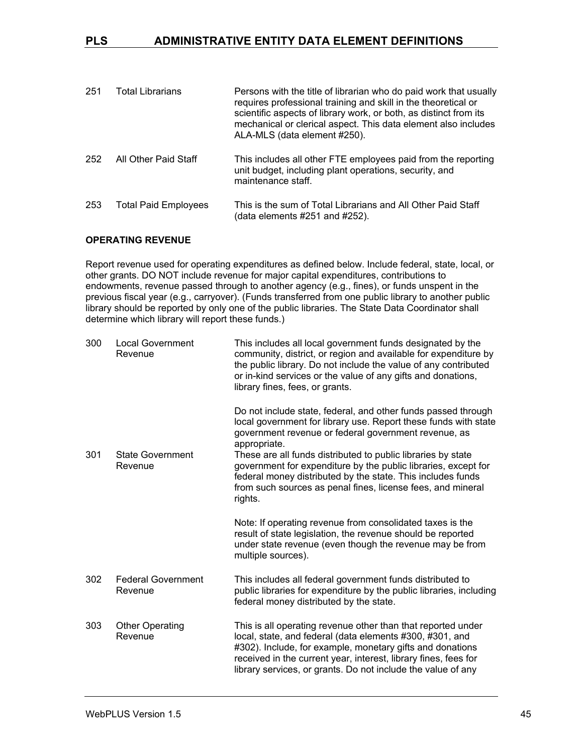| 251 | <b>Total Librarians</b>     | Persons with the title of librarian who do paid work that usually<br>requires professional training and skill in the theoretical or<br>scientific aspects of library work, or both, as distinct from its<br>mechanical or clerical aspect. This data element also includes<br>ALA-MLS (data element #250). |
|-----|-----------------------------|------------------------------------------------------------------------------------------------------------------------------------------------------------------------------------------------------------------------------------------------------------------------------------------------------------|
| 252 | All Other Paid Staff        | This includes all other FTE employees paid from the reporting<br>unit budget, including plant operations, security, and<br>maintenance staff.                                                                                                                                                              |
| 253 | <b>Total Paid Employees</b> | This is the sum of Total Librarians and All Other Paid Staff<br>(data elements #251 and #252).                                                                                                                                                                                                             |

#### **OPERATING REVENUE**

Report revenue used for operating expenditures as defined below. Include federal, state, local, or other grants. DO NOT include revenue for major capital expenditures, contributions to endowments, revenue passed through to another agency (e.g., fines), or funds unspent in the previous fiscal year (e.g., carryover). (Funds transferred from one public library to another public library should be reported by only one of the public libraries. The State Data Coordinator shall determine which library will report these funds.)

| 300 | <b>Local Government</b><br>Revenue   | This includes all local government funds designated by the<br>community, district, or region and available for expenditure by<br>the public library. Do not include the value of any contributed<br>or in-kind services or the value of any gifts and donations,<br>library fines, fees, or grants.                      |
|-----|--------------------------------------|--------------------------------------------------------------------------------------------------------------------------------------------------------------------------------------------------------------------------------------------------------------------------------------------------------------------------|
| 301 | <b>State Government</b>              | Do not include state, federal, and other funds passed through<br>local government for library use. Report these funds with state<br>government revenue or federal government revenue, as<br>appropriate.<br>These are all funds distributed to public libraries by state                                                 |
|     | Revenue                              | government for expenditure by the public libraries, except for<br>federal money distributed by the state. This includes funds<br>from such sources as penal fines, license fees, and mineral<br>rights.                                                                                                                  |
|     |                                      | Note: If operating revenue from consolidated taxes is the<br>result of state legislation, the revenue should be reported<br>under state revenue (even though the revenue may be from<br>multiple sources).                                                                                                               |
| 302 | <b>Federal Government</b><br>Revenue | This includes all federal government funds distributed to<br>public libraries for expenditure by the public libraries, including<br>federal money distributed by the state.                                                                                                                                              |
| 303 | <b>Other Operating</b><br>Revenue    | This is all operating revenue other than that reported under<br>local, state, and federal (data elements #300, #301, and<br>#302). Include, for example, monetary gifts and donations<br>received in the current year, interest, library fines, fees for<br>library services, or grants. Do not include the value of any |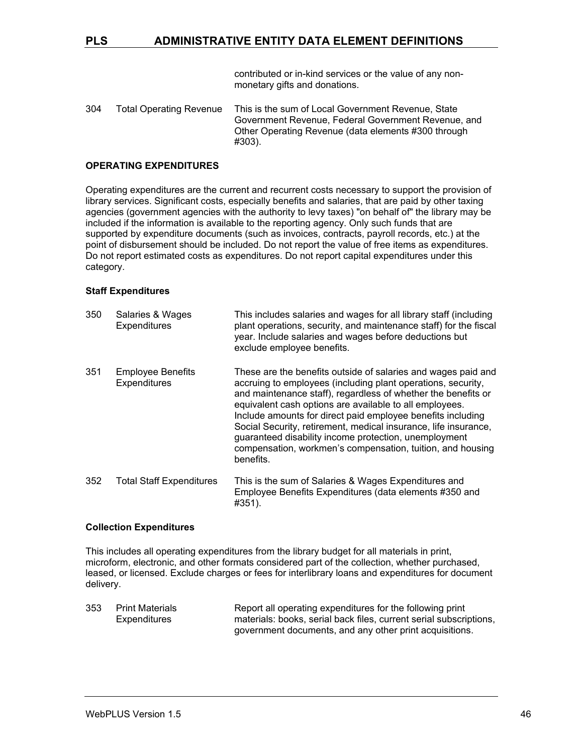contributed or in-kind services or the value of any nonmonetary gifts and donations.

304 Total Operating Revenue This is the sum of Local Government Revenue, State Government Revenue, Federal Government Revenue, and Other Operating Revenue (data elements #300 through #303).

#### **OPERATING EXPENDITURES**

Operating expenditures are the current and recurrent costs necessary to support the provision of library services. Significant costs, especially benefits and salaries, that are paid by other taxing agencies (government agencies with the authority to levy taxes) "on behalf of" the library may be included if the information is available to the reporting agency. Only such funds that are supported by expenditure documents (such as invoices, contracts, payroll records, etc.) at the point of disbursement should be included. Do not report the value of free items as expenditures. Do not report estimated costs as expenditures. Do not report capital expenditures under this category.

#### **Staff Expenditures**

| 350 | Salaries & Wages<br><b>Expenditures</b>         | This includes salaries and wages for all library staff (including<br>plant operations, security, and maintenance staff) for the fiscal<br>year. Include salaries and wages before deductions but<br>exclude employee benefits.                                                                                                                                                                                                                                                                                                  |
|-----|-------------------------------------------------|---------------------------------------------------------------------------------------------------------------------------------------------------------------------------------------------------------------------------------------------------------------------------------------------------------------------------------------------------------------------------------------------------------------------------------------------------------------------------------------------------------------------------------|
| 351 | <b>Employee Benefits</b><br><b>Expenditures</b> | These are the benefits outside of salaries and wages paid and<br>accruing to employees (including plant operations, security,<br>and maintenance staff), regardless of whether the benefits or<br>equivalent cash options are available to all employees.<br>Include amounts for direct paid employee benefits including<br>Social Security, retirement, medical insurance, life insurance,<br>guaranteed disability income protection, unemployment<br>compensation, workmen's compensation, tuition, and housing<br>benefits. |
| 352 | <b>Total Staff Expenditures</b>                 | This is the sum of Salaries & Wages Expenditures and<br>Employee Benefits Expenditures (data elements #350 and                                                                                                                                                                                                                                                                                                                                                                                                                  |

#### **Collection Expenditures**

This includes all operating expenditures from the library budget for all materials in print, microform, electronic, and other formats considered part of the collection, whether purchased, leased, or licensed. Exclude charges or fees for interlibrary loans and expenditures for document delivery.

#351).

353 Print Materials **Expenditures** Report all operating expenditures for the following print materials: books, serial back files, current serial subscriptions, government documents, and any other print acquisitions.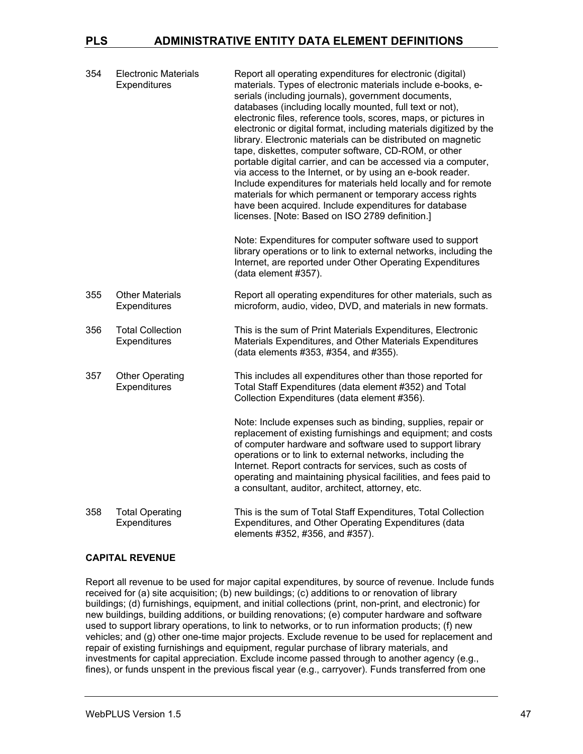| 354 | <b>Electronic Materials</b><br>Expenditures | Report all operating expenditures for electronic (digital)<br>materials. Types of electronic materials include e-books, e-<br>serials (including journals), government documents,<br>databases (including locally mounted, full text or not),<br>electronic files, reference tools, scores, maps, or pictures in<br>electronic or digital format, including materials digitized by the<br>library. Electronic materials can be distributed on magnetic<br>tape, diskettes, computer software, CD-ROM, or other<br>portable digital carrier, and can be accessed via a computer,<br>via access to the Internet, or by using an e-book reader.<br>Include expenditures for materials held locally and for remote<br>materials for which permanent or temporary access rights<br>have been acquired. Include expenditures for database<br>licenses. [Note: Based on ISO 2789 definition.]<br>Note: Expenditures for computer software used to support<br>library operations or to link to external networks, including the |
|-----|---------------------------------------------|-------------------------------------------------------------------------------------------------------------------------------------------------------------------------------------------------------------------------------------------------------------------------------------------------------------------------------------------------------------------------------------------------------------------------------------------------------------------------------------------------------------------------------------------------------------------------------------------------------------------------------------------------------------------------------------------------------------------------------------------------------------------------------------------------------------------------------------------------------------------------------------------------------------------------------------------------------------------------------------------------------------------------|
|     |                                             | Internet, are reported under Other Operating Expenditures<br>(data element #357).                                                                                                                                                                                                                                                                                                                                                                                                                                                                                                                                                                                                                                                                                                                                                                                                                                                                                                                                       |
| 355 | <b>Other Materials</b><br>Expenditures      | Report all operating expenditures for other materials, such as<br>microform, audio, video, DVD, and materials in new formats.                                                                                                                                                                                                                                                                                                                                                                                                                                                                                                                                                                                                                                                                                                                                                                                                                                                                                           |
| 356 | <b>Total Collection</b><br>Expenditures     | This is the sum of Print Materials Expenditures, Electronic<br>Materials Expenditures, and Other Materials Expenditures<br>(data elements #353, #354, and #355).                                                                                                                                                                                                                                                                                                                                                                                                                                                                                                                                                                                                                                                                                                                                                                                                                                                        |
| 357 | <b>Other Operating</b><br>Expenditures      | This includes all expenditures other than those reported for<br>Total Staff Expenditures (data element #352) and Total<br>Collection Expenditures (data element #356).                                                                                                                                                                                                                                                                                                                                                                                                                                                                                                                                                                                                                                                                                                                                                                                                                                                  |
|     |                                             | Note: Include expenses such as binding, supplies, repair or<br>replacement of existing furnishings and equipment; and costs<br>of computer hardware and software used to support library<br>operations or to link to external networks, including the<br>Internet. Report contracts for services, such as costs of<br>operating and maintaining physical facilities, and fees paid to<br>a consultant, auditor, architect, attorney, etc.                                                                                                                                                                                                                                                                                                                                                                                                                                                                                                                                                                               |
| 358 | <b>Total Operating</b><br>Expenditures      | This is the sum of Total Staff Expenditures, Total Collection<br>Expenditures, and Other Operating Expenditures (data<br>elements #352, #356, and #357).                                                                                                                                                                                                                                                                                                                                                                                                                                                                                                                                                                                                                                                                                                                                                                                                                                                                |

#### **CAPITAL REVENUE**

Report all revenue to be used for major capital expenditures, by source of revenue. Include funds received for (a) site acquisition; (b) new buildings; (c) additions to or renovation of library buildings; (d) furnishings, equipment, and initial collections (print, non-print, and electronic) for new buildings, building additions, or building renovations; (e) computer hardware and software used to support library operations, to link to networks, or to run information products; (f) new vehicles; and (g) other one-time major projects. Exclude revenue to be used for replacement and repair of existing furnishings and equipment, regular purchase of library materials, and investments for capital appreciation. Exclude income passed through to another agency (e.g., fines), or funds unspent in the previous fiscal year (e.g., carryover). Funds transferred from one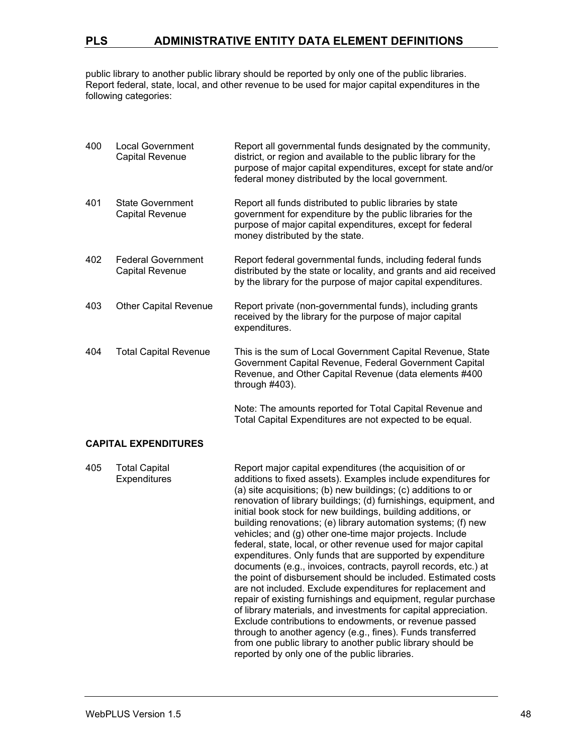public library to another public library should be reported by only one of the public libraries. Report federal, state, local, and other revenue to be used for major capital expenditures in the following categories:

| 400 | <b>Local Government</b><br><b>Capital Revenue</b>   | Report all governmental funds designated by the community,<br>district, or region and available to the public library for the<br>purpose of major capital expenditures, except for state and/or<br>federal money distributed by the local government. |
|-----|-----------------------------------------------------|-------------------------------------------------------------------------------------------------------------------------------------------------------------------------------------------------------------------------------------------------------|
| 401 | <b>State Government</b><br><b>Capital Revenue</b>   | Report all funds distributed to public libraries by state<br>government for expenditure by the public libraries for the<br>purpose of major capital expenditures, except for federal<br>money distributed by the state.                               |
| 402 | <b>Federal Government</b><br><b>Capital Revenue</b> | Report federal governmental funds, including federal funds<br>distributed by the state or locality, and grants and aid received<br>by the library for the purpose of major capital expenditures.                                                      |
| 403 | <b>Other Capital Revenue</b>                        | Report private (non-governmental funds), including grants<br>received by the library for the purpose of major capital<br>expenditures.                                                                                                                |
| 404 | <b>Total Capital Revenue</b>                        | This is the sum of Local Government Capital Revenue, State<br>Government Capital Revenue, Federal Government Capital<br>Revenue, and Other Capital Revenue (data elements #400<br>through $#403$ ).                                                   |
|     |                                                     | Note: The amounts reported for Total Capital Revenue and<br>Total Capital Expenditures are not expected to be equal.                                                                                                                                  |

#### **CAPITAL EXPENDITURES**

| expenditures. Only funds that are supported by expenditure<br>documents (e.g., invoices, contracts, payroll records, etc.) at<br>the point of disbursement should be included. Estimated costs<br>are not included. Exclude expenditures for replacement and<br>repair of existing furnishings and equipment, regular purchase<br>of library materials, and investments for capital appreciation.<br>Exclude contributions to endowments, or revenue passed<br>through to another agency (e.g., fines). Funds transferred<br>from one public library to another public library should be<br>reported by only one of the public libraries. |
|-------------------------------------------------------------------------------------------------------------------------------------------------------------------------------------------------------------------------------------------------------------------------------------------------------------------------------------------------------------------------------------------------------------------------------------------------------------------------------------------------------------------------------------------------------------------------------------------------------------------------------------------|
|-------------------------------------------------------------------------------------------------------------------------------------------------------------------------------------------------------------------------------------------------------------------------------------------------------------------------------------------------------------------------------------------------------------------------------------------------------------------------------------------------------------------------------------------------------------------------------------------------------------------------------------------|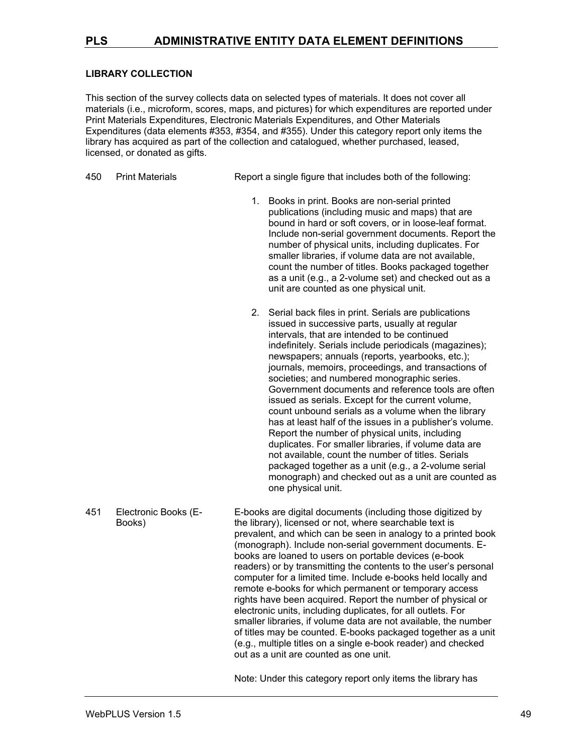#### **LIBRARY COLLECTION**

This section of the survey collects data on selected types of materials. It does not cover all materials (i.e., microform, scores, maps, and pictures) for which expenditures are reported under Print Materials Expenditures, Electronic Materials Expenditures, and Other Materials Expenditures (data elements #353, #354, and #355). Under this category report only items the library has acquired as part of the collection and catalogued, whether purchased, leased, licensed, or donated as gifts.

450 Print Materials Report a single figure that includes both of the following:

- 1. Books in print. Books are non-serial printed publications (including music and maps) that are bound in hard or soft covers, or in loose-leaf format. Include non-serial government documents. Report the number of physical units, including duplicates. For smaller libraries, if volume data are not available, count the number of titles. Books packaged together as a unit (e.g., a 2-volume set) and checked out as a unit are counted as one physical unit.
- 2. Serial back files in print. Serials are publications issued in successive parts, usually at regular intervals, that are intended to be continued indefinitely. Serials include periodicals (magazines); newspapers; annuals (reports, yearbooks, etc.); journals, memoirs, proceedings, and transactions of societies; and numbered monographic series. Government documents and reference tools are often issued as serials. Except for the current volume, count unbound serials as a volume when the library has at least half of the issues in a publisher's volume. Report the number of physical units, including duplicates. For smaller libraries, if volume data are not available, count the number of titles. Serials packaged together as a unit (e.g., a 2-volume serial monograph) and checked out as a unit are counted as one physical unit.
- 451 Electronic Books (E-Books) E-books are digital documents (including those digitized by the library), licensed or not, where searchable text is prevalent, and which can be seen in analogy to a printed book (monograph). Include non-serial government documents. Ebooks are loaned to users on portable devices (e-book readers) or by transmitting the contents to the user's personal computer for a limited time. Include e-books held locally and remote e-books for which permanent or temporary access rights have been acquired. Report the number of physical or electronic units, including duplicates, for all outlets. For smaller libraries, if volume data are not available, the number of titles may be counted. E-books packaged together as a unit (e.g., multiple titles on a single e-book reader) and checked out as a unit are counted as one unit.

Note: Under this category report only items the library has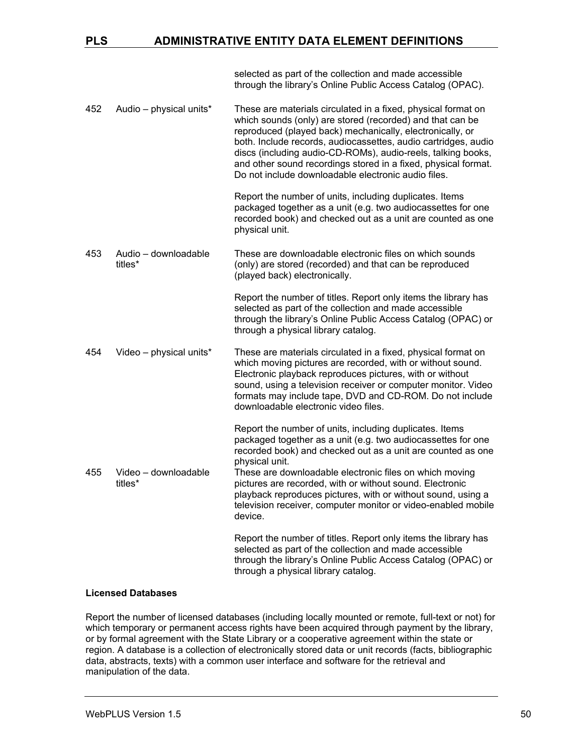selected as part of the collection and made accessible through the library's Online Public Access Catalog (OPAC).

452 Audio – physical units\* These are materials circulated in a fixed, physical format on which sounds (only) are stored (recorded) and that can be reproduced (played back) mechanically, electronically, or both. Include records, audiocassettes, audio cartridges, audio discs (including audio-CD-ROMs), audio-reels, talking books, and other sound recordings stored in a fixed, physical format. Do not include downloadable electronic audio files.

> Report the number of units, including duplicates. Items packaged together as a unit (e.g. two audiocassettes for one recorded book) and checked out as a unit are counted as one physical unit.

453 Audio – downloadable titles\* These are downloadable electronic files on which sounds (only) are stored (recorded) and that can be reproduced (played back) electronically.

> Report the number of titles. Report only items the library has selected as part of the collection and made accessible through the library's Online Public Access Catalog (OPAC) or through a physical library catalog.

454 Video – physical units\* These are materials circulated in a fixed, physical format on which moving pictures are recorded, with or without sound. Electronic playback reproduces pictures, with or without sound, using a television receiver or computer monitor. Video formats may include tape, DVD and CD-ROM. Do not include downloadable electronic video files.

> Report the number of units, including duplicates. Items packaged together as a unit (e.g. two audiocassettes for one recorded book) and checked out as a unit are counted as one physical unit.

455 Video – downloadable titles\* These are downloadable electronic files on which moving pictures are recorded, with or without sound. Electronic playback reproduces pictures, with or without sound, using a television receiver, computer monitor or video-enabled mobile device.

> Report the number of titles. Report only items the library has selected as part of the collection and made accessible through the library's Online Public Access Catalog (OPAC) or through a physical library catalog.

#### **Licensed Databases**

Report the number of licensed databases (including locally mounted or remote, full-text or not) for which temporary or permanent access rights have been acquired through payment by the library, or by formal agreement with the State Library or a cooperative agreement within the state or region. A database is a collection of electronically stored data or unit records (facts, bibliographic data, abstracts, texts) with a common user interface and software for the retrieval and manipulation of the data.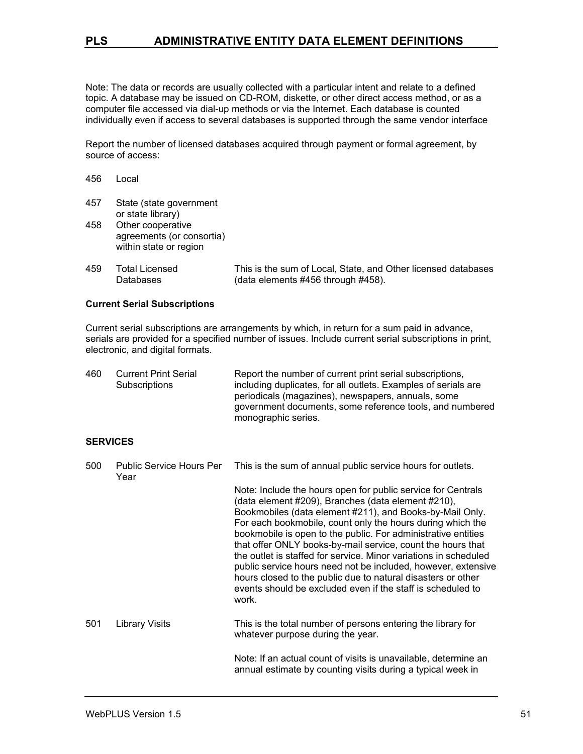Note: The data or records are usually collected with a particular intent and relate to a defined topic. A database may be issued on CD-ROM, diskette, or other direct access method, or as a computer file accessed via dial-up methods or via the Internet. Each database is counted individually even if access to several databases is supported through the same vendor interface

Report the number of licensed databases acquired through payment or formal agreement, by source of access:

- 456 Local
- 457 State (state government or state library) 458 Other cooperative
- agreements (or consortia) within state or region
- 459 Total Licensed Databases This is the sum of Local, State, and Other licensed databases (data elements #456 through #458).

#### **Current Serial Subscriptions**

Current serial subscriptions are arrangements by which, in return for a sum paid in advance, serials are provided for a specified number of issues. Include current serial subscriptions in print, electronic, and digital formats.

| 460 | <b>Current Print Serial</b> | Report the number of current print serial subscriptions,       |
|-----|-----------------------------|----------------------------------------------------------------|
|     | Subscriptions               | including duplicates, for all outlets. Examples of serials are |
|     |                             | periodicals (magazines), newspapers, annuals, some             |
|     |                             | government documents, some reference tools, and numbered       |
|     |                             | monographic series.                                            |

#### **SERVICES**

| 500 | <b>Public Service Hours Per</b><br>Year | This is the sum of annual public service hours for outlets.                                                                                                                                                                                                                                                                                                                                                                                                                                                                                                                                                                                               |
|-----|-----------------------------------------|-----------------------------------------------------------------------------------------------------------------------------------------------------------------------------------------------------------------------------------------------------------------------------------------------------------------------------------------------------------------------------------------------------------------------------------------------------------------------------------------------------------------------------------------------------------------------------------------------------------------------------------------------------------|
|     |                                         | Note: Include the hours open for public service for Centrals<br>(data element #209), Branches (data element #210),<br>Bookmobiles (data element #211), and Books-by-Mail Only.<br>For each bookmobile, count only the hours during which the<br>bookmobile is open to the public. For administrative entities<br>that offer ONLY books-by-mail service, count the hours that<br>the outlet is staffed for service. Minor variations in scheduled<br>public service hours need not be included, however, extensive<br>hours closed to the public due to natural disasters or other<br>events should be excluded even if the staff is scheduled to<br>work. |
| 501 | Library Visits                          | This is the total number of persons entering the library for<br>whatever purpose during the year.                                                                                                                                                                                                                                                                                                                                                                                                                                                                                                                                                         |
|     |                                         | Note: If an actual count of visits is unavailable, determine an<br>annual estimate by counting visits during a typical week in                                                                                                                                                                                                                                                                                                                                                                                                                                                                                                                            |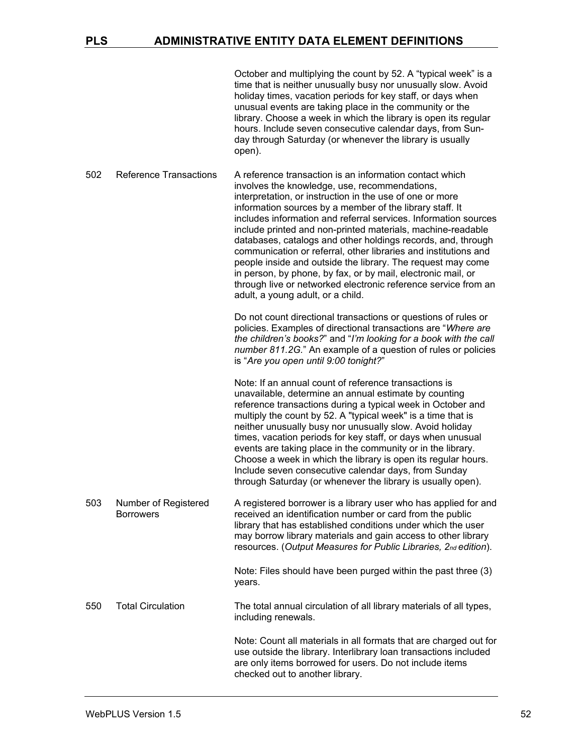| October and multiplying the count by 52. A "typical week" is a  |
|-----------------------------------------------------------------|
| time that is neither unusually busy nor unusually slow. Avoid   |
| holiday times, vacation periods for key staff, or days when     |
| unusual events are taking place in the community or the         |
| library. Choose a week in which the library is open its regular |
| hours. Include seven consecutive calendar days, from Sun-       |
| day through Saturday (or whenever the library is usually        |
| open).                                                          |

502 Reference Transactions A reference transaction is an information contact which involves the knowledge, use, recommendations, interpretation, or instruction in the use of one or more information sources by a member of the library staff. It includes information and referral services. Information sources include printed and non-printed materials, machine-readable databases, catalogs and other holdings records, and, through communication or referral, other libraries and institutions and people inside and outside the library. The request may come in person, by phone, by fax, or by mail, electronic mail, or through live or networked electronic reference service from an adult, a young adult, or a child.

Do not count directional transactions or questions of rules or policies. Examples of directional transactions are "*Where are the children's books?*" and "*I'm looking for a book with the call number 811.2G.*" An example of a question of rules or policies is "*Are you open until 9:00 tonight?*"

Note: If an annual count of reference transactions is unavailable, determine an annual estimate by counting reference transactions during a typical week in October and multiply the count by 52. A "typical week" is a time that is neither unusually busy nor unusually slow. Avoid holiday times, vacation periods for key staff, or days when unusual events are taking place in the community or in the library. Choose a week in which the library is open its regular hours. Include seven consecutive calendar days, from Sunday through Saturday (or whenever the library is usually open).

503 Number of Registered **Borrowers** A registered borrower is a library user who has applied for and received an identification number or card from the public library that has established conditions under which the user may borrow library materials and gain access to other library resources. (*Output Measures for Public Libraries, 2nd edition*).

> Note: Files should have been purged within the past three (3) years.

#### 550 Total Circulation The total annual circulation of all library materials of all types, including renewals.

Note: Count all materials in all formats that are charged out for use outside the library. Interlibrary loan transactions included are only items borrowed for users. Do not include items checked out to another library.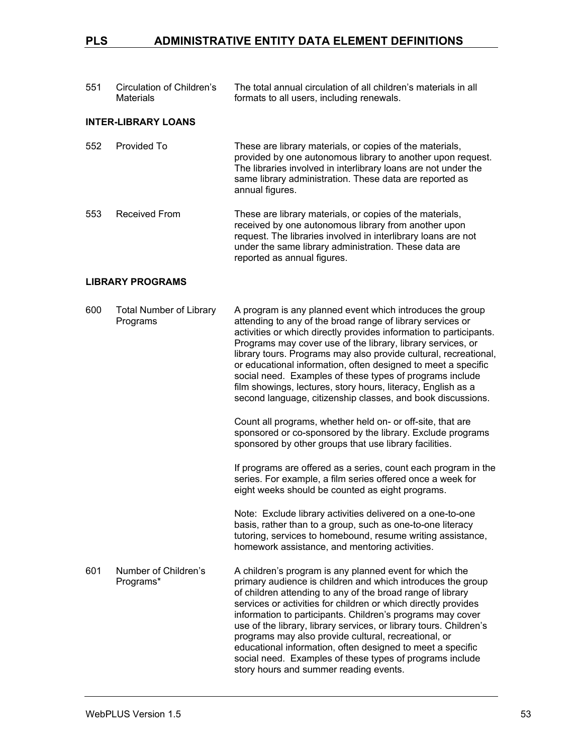| 551 | Circulation of Children's<br>Materials | The total annual circulation of all children's materials in all<br>formats to all users, including renewals. |
|-----|----------------------------------------|--------------------------------------------------------------------------------------------------------------|
|     |                                        |                                                                                                              |

### **INTER-LIBRARY LOANS**

| 552 | Provided To | These are library materials, or copies of the materials,<br>provided by one autonomous library to another upon request.                      |
|-----|-------------|----------------------------------------------------------------------------------------------------------------------------------------------|
|     |             | The libraries involved in interlibrary loans are not under the<br>same library administration. These data are reported as<br>annual figures. |

553 Received From These are library materials, or copies of the materials, received by one autonomous library from another upon request. The libraries involved in interlibrary loans are not under the same library administration. These data are reported as annual figures.

#### **LIBRARY PROGRAMS**

| 600 | <b>Total Number of Library</b><br>Programs | A program is any planned event which introduces the group<br>attending to any of the broad range of library services or<br>activities or which directly provides information to participants.<br>Programs may cover use of the library, library services, or<br>library tours. Programs may also provide cultural, recreational,<br>or educational information, often designed to meet a specific<br>social need. Examples of these types of programs include<br>film showings, lectures, story hours, literacy, English as a<br>second language, citizenship classes, and book discussions.<br>Count all programs, whether held on- or off-site, that are<br>sponsored or co-sponsored by the library. Exclude programs<br>sponsored by other groups that use library facilities. |
|-----|--------------------------------------------|------------------------------------------------------------------------------------------------------------------------------------------------------------------------------------------------------------------------------------------------------------------------------------------------------------------------------------------------------------------------------------------------------------------------------------------------------------------------------------------------------------------------------------------------------------------------------------------------------------------------------------------------------------------------------------------------------------------------------------------------------------------------------------|
|     |                                            | If programs are offered as a series, count each program in the<br>series. For example, a film series offered once a week for<br>eight weeks should be counted as eight programs.                                                                                                                                                                                                                                                                                                                                                                                                                                                                                                                                                                                                   |
|     |                                            | Note: Exclude library activities delivered on a one-to-one<br>basis, rather than to a group, such as one-to-one literacy<br>tutoring, services to homebound, resume writing assistance,<br>homework assistance, and mentoring activities.                                                                                                                                                                                                                                                                                                                                                                                                                                                                                                                                          |
| 601 | Number of Children's<br>Programs*          | A children's program is any planned event for which the<br>primary audience is children and which introduces the group<br>of children attending to any of the broad range of library<br>services or activities for children or which directly provides<br>information to participants. Children's programs may cover<br>use of the library, library services, or library tours. Children's<br>programs may also provide cultural, recreational, or<br>educational information, often designed to meet a specific<br>social need. Examples of these types of programs include<br>story hours and summer reading events.                                                                                                                                                             |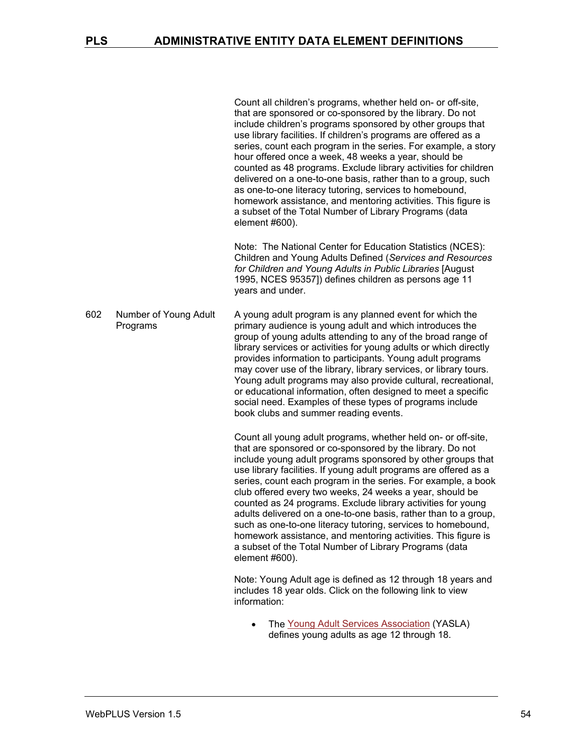Count all children's programs, whether held on- or off-site, that are sponsored or co-sponsored by the library. Do not include children's programs sponsored by other groups that use library facilities. If children's programs are offered as a series, count each program in the series. For example, a story hour offered once a week, 48 weeks a year, should be counted as 48 programs. Exclude library activities for children delivered on a one-to-one basis, rather than to a group, such as one-to-one literacy tutoring, services to homebound, homework assistance, and mentoring activities. This figure is a subset of the Total Number of Library Programs (data element #600).

Note: The National Center for Education Statistics (NCES): Children and Young Adults Defined (*Services and Resources for Children and Young Adults in Public Libraries* [August 1995, NCES 95357]) defines children as persons age 11 years and under.

602 Number of Young Adult Programs A young adult program is any planned event for which the primary audience is young adult and which introduces the group of young adults attending to any of the broad range of library services or activities for young adults or which directly provides information to participants. Young adult programs may cover use of the library, library services, or library tours. Young adult programs may also provide cultural, recreational, or educational information, often designed to meet a specific social need. Examples of these types of programs include book clubs and summer reading events.

> Count all young adult programs, whether held on- or off-site, that are sponsored or co-sponsored by the library. Do not include young adult programs sponsored by other groups that use library facilities. If young adult programs are offered as a series, count each program in the series. For example, a book club offered every two weeks, 24 weeks a year, should be counted as 24 programs. Exclude library activities for young adults delivered on a one-to-one basis, rather than to a group, such as one-to-one literacy tutoring, services to homebound, homework assistance, and mentoring activities. This figure is a subset of the Total Number of Library Programs (data element #600).

Note: Young Adult age is defined as 12 through 18 years and includes 18 year olds. Click on the following link to view information:

• The [Young Adult Services Association](http://www.ala.org/ala/mgrps/divs/yalsa/aboutyalsab/yalsavisionstatement.cfm) (YASLA) defines young adults as age 12 through 18.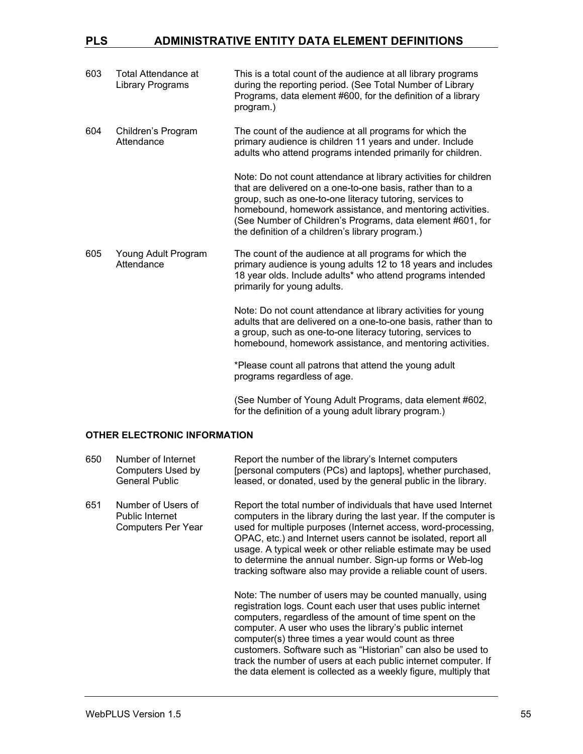| 603 | Total Attendance at<br>Library Programs | This is a total count of the audience at all library programs<br>during the reporting period. (See Total Number of Library<br>Programs, data element #600, for the definition of a library<br>program.)                                                                                                                                                                   |
|-----|-----------------------------------------|---------------------------------------------------------------------------------------------------------------------------------------------------------------------------------------------------------------------------------------------------------------------------------------------------------------------------------------------------------------------------|
| 604 | Children's Program<br>Attendance        | The count of the audience at all programs for which the<br>primary audience is children 11 years and under. Include<br>adults who attend programs intended primarily for children.                                                                                                                                                                                        |
|     |                                         | Note: Do not count attendance at library activities for children<br>that are delivered on a one-to-one basis, rather than to a<br>group, such as one-to-one literacy tutoring, services to<br>homebound, homework assistance, and mentoring activities.<br>(See Number of Children's Programs, data element #601, for<br>the definition of a children's library program.) |
| 605 | Young Adult Program<br>Attendance       | The count of the audience at all programs for which the<br>primary audience is young adults 12 to 18 years and includes<br>18 year olds. Include adults* who attend programs intended<br>primarily for young adults.                                                                                                                                                      |
|     |                                         | Note: Do not count attendance at library activities for young<br>adults that are delivered on a one-to-one basis, rather than to<br>a group, such as one-to-one literacy tutoring, services to<br>homebound, homework assistance, and mentoring activities.                                                                                                               |
|     |                                         | *Please count all patrons that attend the young adult<br>programs regardless of age.                                                                                                                                                                                                                                                                                      |
|     |                                         | (See Number of Young Adult Programs, data element #602,<br>for the definition of a young adult library program.)                                                                                                                                                                                                                                                          |

#### **OTHER ELECTRONIC INFORMATION**

| 650 | Number of Internet<br>Computers Used by<br><b>General Public</b>          | Report the number of the library's Internet computers<br>[personal computers (PCs) and laptops], whether purchased,<br>leased, or donated, used by the general public in the library.                                                                                                                                                                                                                                                                                                                      |
|-----|---------------------------------------------------------------------------|------------------------------------------------------------------------------------------------------------------------------------------------------------------------------------------------------------------------------------------------------------------------------------------------------------------------------------------------------------------------------------------------------------------------------------------------------------------------------------------------------------|
| 651 | Number of Users of<br><b>Public Internet</b><br><b>Computers Per Year</b> | Report the total number of individuals that have used Internet<br>computers in the library during the last year. If the computer is<br>used for multiple purposes (Internet access, word-processing,<br>OPAC, etc.) and Internet users cannot be isolated, report all<br>usage. A typical week or other reliable estimate may be used<br>to determine the annual number. Sign-up forms or Web-log<br>tracking software also may provide a reliable count of users.                                         |
|     |                                                                           | Note: The number of users may be counted manually, using<br>registration logs. Count each user that uses public internet<br>computers, regardless of the amount of time spent on the<br>computer. A user who uses the library's public internet<br>computer(s) three times a year would count as three<br>customers. Software such as "Historian" can also be used to<br>track the number of users at each public internet computer. If<br>the data element is collected as a weekly figure, multiply that |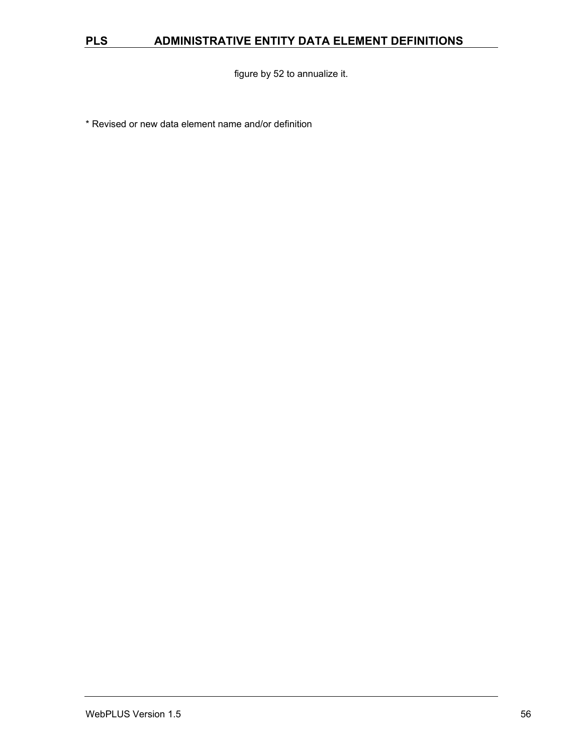figure by 52 to annualize it.

\* Revised or new data element name and/or definition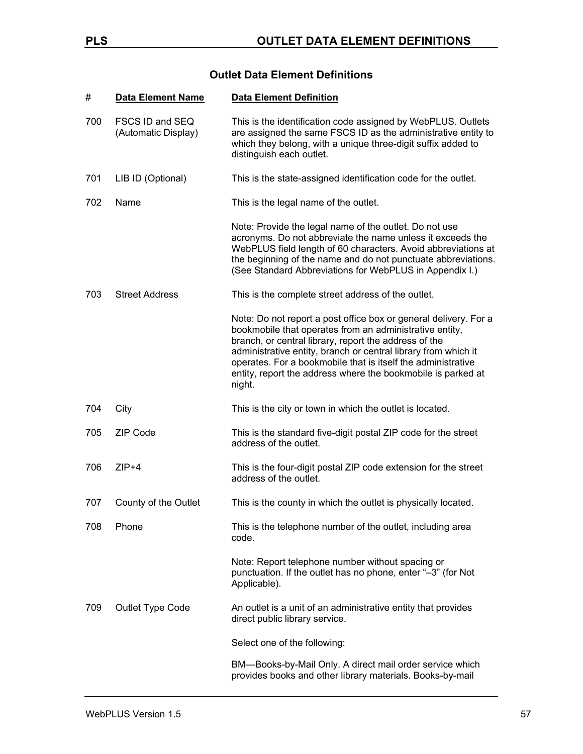### **Outlet Data Element Definitions**

| #   | <b>Data Element Name</b>               | <b>Data Element Definition</b>                                                                                                                                                                                                                                                                                                                                                                   |
|-----|----------------------------------------|--------------------------------------------------------------------------------------------------------------------------------------------------------------------------------------------------------------------------------------------------------------------------------------------------------------------------------------------------------------------------------------------------|
| 700 | FSCS ID and SEQ<br>(Automatic Display) | This is the identification code assigned by WebPLUS. Outlets<br>are assigned the same FSCS ID as the administrative entity to<br>which they belong, with a unique three-digit suffix added to<br>distinguish each outlet.                                                                                                                                                                        |
| 701 | LIB ID (Optional)                      | This is the state-assigned identification code for the outlet.                                                                                                                                                                                                                                                                                                                                   |
| 702 | Name                                   | This is the legal name of the outlet.                                                                                                                                                                                                                                                                                                                                                            |
|     |                                        | Note: Provide the legal name of the outlet. Do not use<br>acronyms. Do not abbreviate the name unless it exceeds the<br>WebPLUS field length of 60 characters. Avoid abbreviations at<br>the beginning of the name and do not punctuate abbreviations.<br>(See Standard Abbreviations for WebPLUS in Appendix I.)                                                                                |
| 703 | <b>Street Address</b>                  | This is the complete street address of the outlet.                                                                                                                                                                                                                                                                                                                                               |
|     |                                        | Note: Do not report a post office box or general delivery. For a<br>bookmobile that operates from an administrative entity,<br>branch, or central library, report the address of the<br>administrative entity, branch or central library from which it<br>operates. For a bookmobile that is itself the administrative<br>entity, report the address where the bookmobile is parked at<br>night. |
| 704 | City                                   | This is the city or town in which the outlet is located.                                                                                                                                                                                                                                                                                                                                         |
| 705 | <b>ZIP Code</b>                        | This is the standard five-digit postal ZIP code for the street<br>address of the outlet.                                                                                                                                                                                                                                                                                                         |
| 706 | $ZIP+4$                                | This is the four-digit postal ZIP code extension for the street<br>address of the outlet.                                                                                                                                                                                                                                                                                                        |
| 707 | County of the Outlet                   | This is the county in which the outlet is physically located.                                                                                                                                                                                                                                                                                                                                    |
| 708 | Phone                                  | This is the telephone number of the outlet, including area<br>code.                                                                                                                                                                                                                                                                                                                              |
|     |                                        | Note: Report telephone number without spacing or<br>punctuation. If the outlet has no phone, enter "-3" (for Not<br>Applicable).                                                                                                                                                                                                                                                                 |
| 709 | Outlet Type Code                       | An outlet is a unit of an administrative entity that provides<br>direct public library service.                                                                                                                                                                                                                                                                                                  |
|     |                                        | Select one of the following:                                                                                                                                                                                                                                                                                                                                                                     |
|     |                                        | BM-Books-by-Mail Only. A direct mail order service which<br>provides books and other library materials. Books-by-mail                                                                                                                                                                                                                                                                            |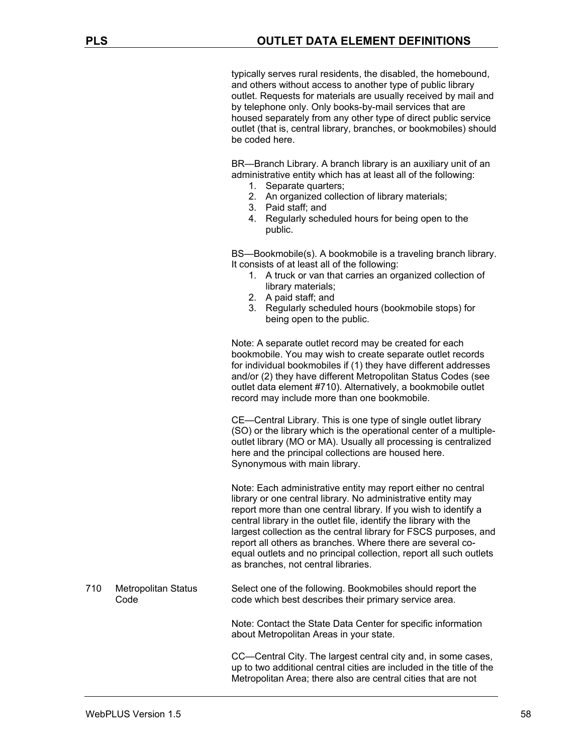typically serves rural residents, the disabled, the homebound, and others without access to another type of public library outlet. Requests for materials are usually received by mail and by telephone only. Only books-by-mail services that are housed separately from any other type of direct public service outlet (that is, central library, branches, or bookmobiles) should be coded here.

BR—Branch Library. A branch library is an auxiliary unit of an administrative entity which has at least all of the following:

- 1. Separate quarters;
- 2. An organized collection of library materials;
- 3. Paid staff; and
- 4. Regularly scheduled hours for being open to the public.

BS—Bookmobile(s). A bookmobile is a traveling branch library. It consists of at least all of the following:

- 1. A truck or van that carries an organized collection of library materials;
- 2. A paid staff; and
- 3. Regularly scheduled hours (bookmobile stops) for being open to the public.

Note: A separate outlet record may be created for each bookmobile. You may wish to create separate outlet records for individual bookmobiles if (1) they have different addresses and/or (2) they have different Metropolitan Status Codes (see outlet data element #710). Alternatively, a bookmobile outlet record may include more than one bookmobile.

CE—Central Library. This is one type of single outlet library (SO) or the library which is the operational center of a multipleoutlet library (MO or MA). Usually all processing is centralized here and the principal collections are housed here. Synonymous with main library.

Note: Each administrative entity may report either no central library or one central library. No administrative entity may report more than one central library. If you wish to identify a central library in the outlet file, identify the library with the largest collection as the central library for FSCS purposes, and report all others as branches. Where there are several coequal outlets and no principal collection, report all such outlets as branches, not central libraries.

710 Metropolitan Status Code Select one of the following. Bookmobiles should report the code which best describes their primary service area.

> Note: Contact the State Data Center for specific information about Metropolitan Areas in your state.

CC—Central City. The largest central city and, in some cases, up to two additional central cities are included in the title of the Metropolitan Area; there also are central cities that are not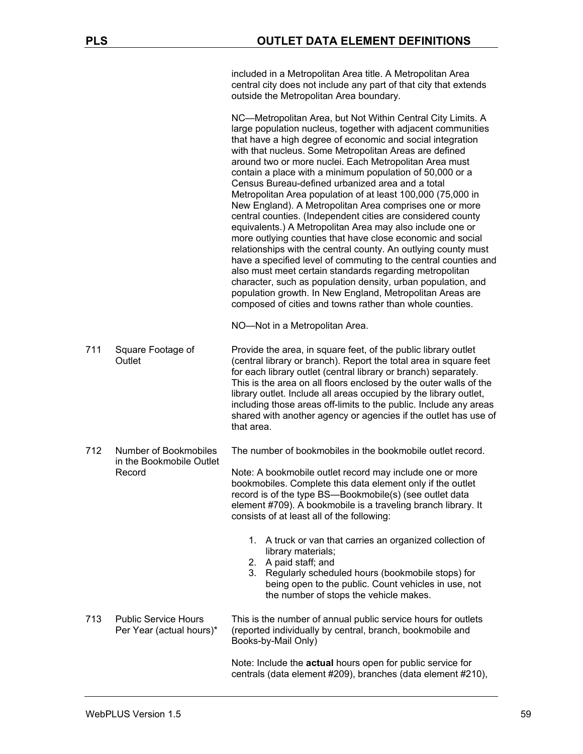included in a Metropolitan Area title. A Metropolitan Area central city does not include any part of that city that extends outside the Metropolitan Area boundary.

NC—Metropolitan Area, but Not Within Central City Limits. A large population nucleus, together with adjacent communities that have a high degree of economic and social integration with that nucleus. Some Metropolitan Areas are defined around two or more nuclei. Each Metropolitan Area must contain a place with a minimum population of 50,000 or a Census Bureau-defined urbanized area and a total Metropolitan Area population of at least 100,000 (75,000 in New England). A Metropolitan Area comprises one or more central counties. (Independent cities are considered county equivalents.) A Metropolitan Area may also include one or more outlying counties that have close economic and social relationships with the central county. An outlying county must have a specified level of commuting to the central counties and also must meet certain standards regarding metropolitan character, such as population density, urban population, and population growth. In New England, Metropolitan Areas are composed of cities and towns rather than whole counties.

NO—Not in a Metropolitan Area.

711 Square Footage of **Outlet** Provide the area, in square feet, of the public library outlet (central library or branch). Report the total area in square feet for each library outlet (central library or branch) separately. This is the area on all floors enclosed by the outer walls of the library outlet. Include all areas occupied by the library outlet, including those areas off-limits to the public. Include any areas shared with another agency or agencies if the outlet has use of that area.

712 Number of Bookmobiles in the Bookmobile Outlet The number of bookmobiles in the bookmobile outlet record.

Note: A bookmobile outlet record may include one or more bookmobiles. Complete this data element only if the outlet record is of the type BS—Bookmobile(s) (see outlet data element #709). A bookmobile is a traveling branch library. It consists of at least all of the following:

- 1. A truck or van that carries an organized collection of library materials;
- 2. A paid staff; and
- 3. Regularly scheduled hours (bookmobile stops) for being open to the public. Count vehicles in use, not the number of stops the vehicle makes.
- 713 Public Service Hours Per Year (actual hours)\* This is the number of annual public service hours for outlets (reported individually by central, branch, bookmobile and Books-by-Mail Only)

Note: Include the **actual** hours open for public service for centrals (data element #209), branches (data element #210),

Record